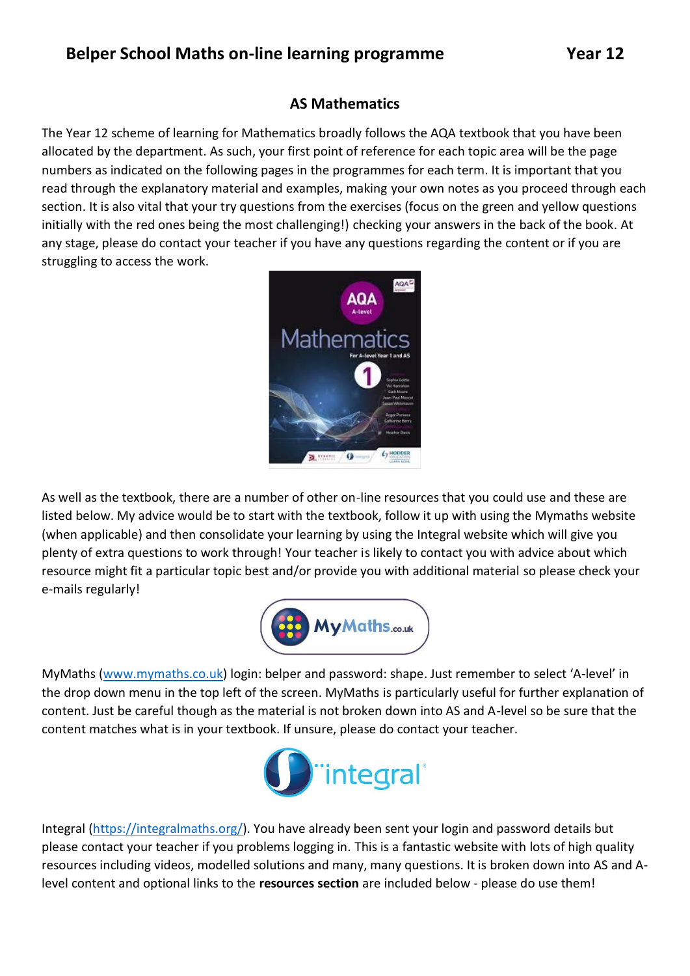## **AS Mathematics**

The Year 12 scheme of learning for Mathematics broadly follows the AQA textbook that you have been allocated by the department. As such, your first point of reference for each topic area will be the page numbers as indicated on the following pages in the programmes for each term. It is important that you read through the explanatory material and examples, making your own notes as you proceed through each section. It is also vital that your try questions from the exercises (focus on the green and yellow questions initially with the red ones being the most challenging!) checking your answers in the back of the book. At any stage, please do contact your teacher if you have any questions regarding the content or if you are struggling to access the work.



As well as the textbook, there are a number of other on-line resources that you could use and these are listed below. My advice would be to start with the textbook, follow it up with using the Mymaths website (when applicable) and then consolidate your learning by using the Integral website which will give you plenty of extra questions to work through! Your teacher is likely to contact you with advice about which resource might fit a particular topic best and/or provide you with additional material so please check your e-mails regularly!



MyMaths [\(www.mymaths.co.uk\)](http://www.mymaths.co.uk/) login: belper and password: shape. Just remember to select 'A-level' in the drop down menu in the top left of the screen. MyMaths is particularly useful for further explanation of content. Just be careful though as the material is not broken down into AS and A-level so be sure that the content matches what is in your textbook. If unsure, please do contact your teacher.



Integral [\(https://integralmaths.org/\)](https://integralmaths.org/). You have already been sent your login and password details but please contact your teacher if you problems logging in. This is a fantastic website with lots of high quality resources including videos, modelled solutions and many, many questions. It is broken down into AS and Alevel content and optional links to the **resources section** are included below - please do use them!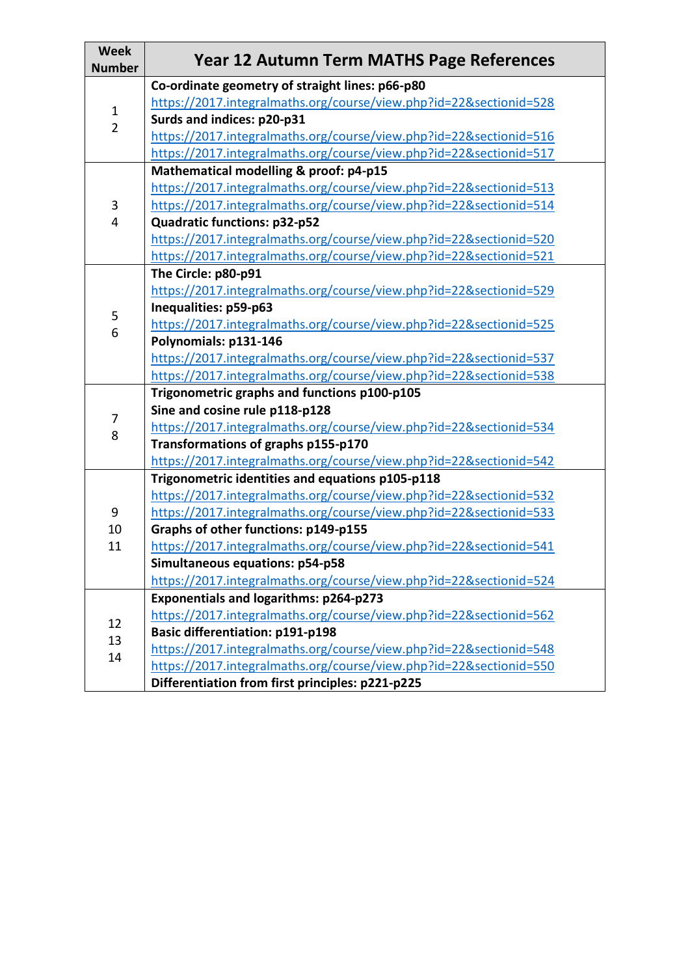| <b>Week</b><br><b>Number</b>  | <b>Year 12 Autumn Term MATHS Page References</b>                   |
|-------------------------------|--------------------------------------------------------------------|
| $\mathbf 1$<br>$\overline{2}$ | Co-ordinate geometry of straight lines: p66-p80                    |
|                               | https://2017.integralmaths.org/course/view.php?id=22&sectionid=528 |
|                               | Surds and indices: p20-p31                                         |
|                               | https://2017.integralmaths.org/course/view.php?id=22&sectionid=516 |
|                               | https://2017.integralmaths.org/course/view.php?id=22&sectionid=517 |
| $\mathbf{3}$<br>4             | Mathematical modelling & proof: p4-p15                             |
|                               | https://2017.integralmaths.org/course/view.php?id=22&sectionid=513 |
|                               | https://2017.integralmaths.org/course/view.php?id=22&sectionid=514 |
|                               | Quadratic functions: p32-p52                                       |
|                               | https://2017.integralmaths.org/course/view.php?id=22&sectionid=520 |
|                               | https://2017.integralmaths.org/course/view.php?id=22&sectionid=521 |
|                               | The Circle: p80-p91                                                |
|                               | https://2017.integralmaths.org/course/view.php?id=22&sectionid=529 |
|                               | Inequalities: p59-p63                                              |
| 5                             | https://2017.integralmaths.org/course/view.php?id=22&sectionid=525 |
| 6                             | Polynomials: p131-146                                              |
|                               | https://2017.integralmaths.org/course/view.php?id=22&sectionid=537 |
|                               | https://2017.integralmaths.org/course/view.php?id=22&sectionid=538 |
|                               | Trigonometric graphs and functions p100-p105                       |
|                               | Sine and cosine rule p118-p128                                     |
| 7                             | https://2017.integralmaths.org/course/view.php?id=22&sectionid=534 |
| 8                             | Transformations of graphs p155-p170                                |
|                               | https://2017.integralmaths.org/course/view.php?id=22&sectionid=542 |
|                               | Trigonometric identities and equations p105-p118                   |
|                               | https://2017.integralmaths.org/course/view.php?id=22&sectionid=532 |
| 9                             | https://2017.integralmaths.org/course/view.php?id=22&sectionid=533 |
| 10                            | Graphs of other functions: p149-p155                               |
| 11                            | https://2017.integralmaths.org/course/view.php?id=22&sectionid=541 |
|                               | Simultaneous equations: p54-p58                                    |
|                               | https://2017.integralmaths.org/course/view.php?id=22&sectionid=524 |
|                               | <b>Exponentials and logarithms: p264-p273</b>                      |
|                               | https://2017.integralmaths.org/course/view.php?id=22&sectionid=562 |
| 12<br>13<br>14                | <b>Basic differentiation: p191-p198</b>                            |
|                               | https://2017.integralmaths.org/course/view.php?id=22&sectionid=548 |
|                               | https://2017.integralmaths.org/course/view.php?id=22&sectionid=550 |
|                               | Differentiation from first principles: p221-p225                   |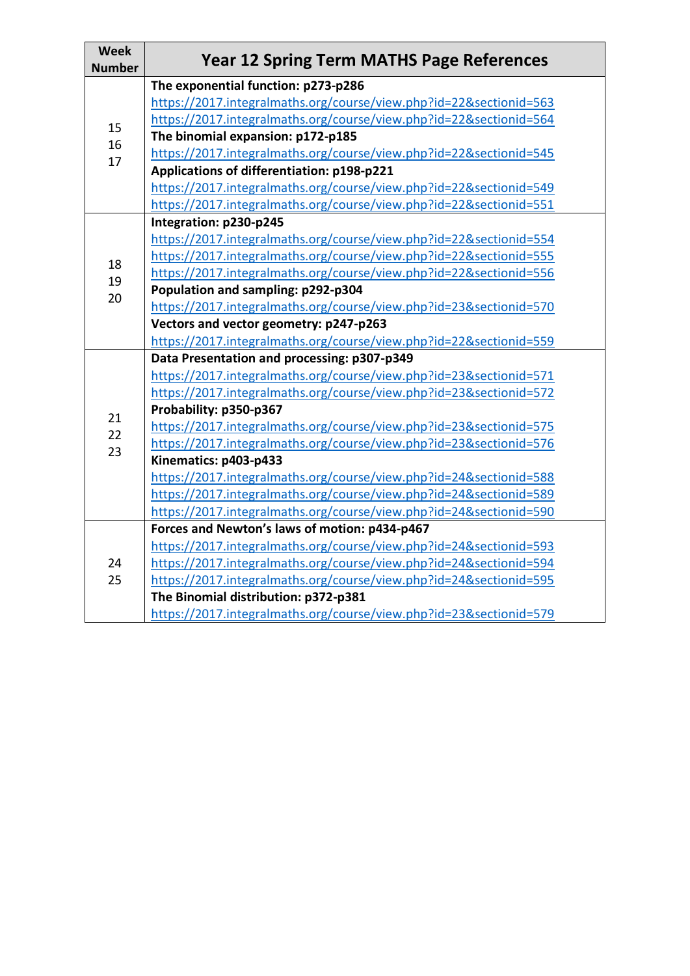| <b>Week</b><br><b>Number</b> | <b>Year 12 Spring Term MATHS Page References</b>                   |
|------------------------------|--------------------------------------------------------------------|
| 15<br>16<br>17               | The exponential function: p273-p286                                |
|                              | https://2017.integralmaths.org/course/view.php?id=22&sectionid=563 |
|                              | https://2017.integralmaths.org/course/view.php?id=22&sectionid=564 |
|                              | The binomial expansion: p172-p185                                  |
|                              | https://2017.integralmaths.org/course/view.php?id=22&sectionid=545 |
|                              | Applications of differentiation: p198-p221                         |
|                              | https://2017.integralmaths.org/course/view.php?id=22&sectionid=549 |
|                              | https://2017.integralmaths.org/course/view.php?id=22&sectionid=551 |
| 18                           | Integration: p230-p245                                             |
|                              | https://2017.integralmaths.org/course/view.php?id=22&sectionid=554 |
|                              | https://2017.integralmaths.org/course/view.php?id=22&sectionid=555 |
| 19                           | https://2017.integralmaths.org/course/view.php?id=22&sectionid=556 |
| 20                           | Population and sampling: p292-p304                                 |
|                              | https://2017.integralmaths.org/course/view.php?id=23&sectionid=570 |
|                              | Vectors and vector geometry: p247-p263                             |
|                              | https://2017.integralmaths.org/course/view.php?id=22&sectionid=559 |
|                              | Data Presentation and processing: p307-p349                        |
|                              | https://2017.integralmaths.org/course/view.php?id=23&sectionid=571 |
|                              | https://2017.integralmaths.org/course/view.php?id=23&sectionid=572 |
| 21                           | Probability: p350-p367                                             |
| 22                           | https://2017.integralmaths.org/course/view.php?id=23&sectionid=575 |
| 23                           | https://2017.integralmaths.org/course/view.php?id=23&sectionid=576 |
|                              | Kinematics: p403-p433                                              |
|                              | https://2017.integralmaths.org/course/view.php?id=24&sectionid=588 |
|                              | https://2017.integralmaths.org/course/view.php?id=24&sectionid=589 |
|                              | https://2017.integralmaths.org/course/view.php?id=24&sectionid=590 |
| 24<br>25                     | Forces and Newton's laws of motion: p434-p467                      |
|                              | https://2017.integralmaths.org/course/view.php?id=24&sectionid=593 |
|                              | https://2017.integralmaths.org/course/view.php?id=24&sectionid=594 |
|                              | https://2017.integralmaths.org/course/view.php?id=24&sectionid=595 |
|                              | The Binomial distribution: p372-p381                               |
|                              | https://2017.integralmaths.org/course/view.php?id=23&sectionid=579 |